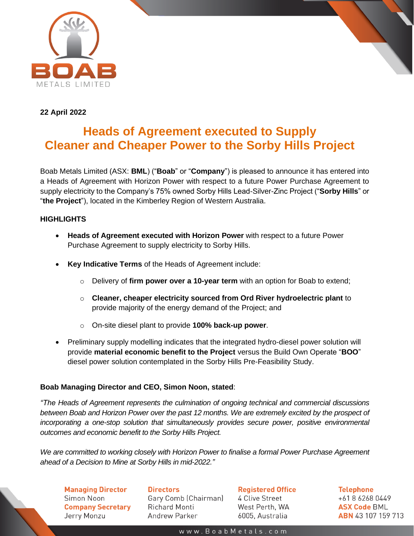

## **22 April 2022**

# **Heads of Agreement executed to Supply Cleaner and Cheaper Power to the Sorby Hills Project**

Boab Metals Limited (ASX: **BML**) ("**Boab**" or "**Company**") is pleased to announce it has entered into a Heads of Agreement with Horizon Power with respect to a future Power Purchase Agreement to supply electricity to the Company's 75% owned Sorby Hills Lead-Silver-Zinc Project ("**Sorby Hills**" or "**the Project**"), located in the Kimberley Region of Western Australia.

## **HIGHLIGHTS**

- **Heads of Agreement executed with Horizon Power** with respect to a future Power Purchase Agreement to supply electricity to Sorby Hills.
- **Key Indicative Terms** of the Heads of Agreement include:
	- o Delivery of **firm power over a 10-year term** with an option for Boab to extend;
	- o **Cleaner, cheaper electricity sourced from Ord River hydroelectric plant** to provide majority of the energy demand of the Project; and
	- o On-site diesel plant to provide **100% back-up power**.
- Preliminary supply modelling indicates that the integrated hydro-diesel power solution will provide **material economic benefit to the Project** versus the Build Own Operate "**BOO**" diesel power solution contemplated in the Sorby Hills Pre-Feasibility Study.

## **Boab Managing Director and CEO, Simon Noon, stated**:

*"The Heads of Agreement represents the culmination of ongoing technical and commercial discussions between Boab and Horizon Power over the past 12 months. We are extremely excited by the prospect of incorporating a one-stop solution that simultaneously provides secure power, positive environmental outcomes and economic benefit to the Sorby Hills Project.*

*We are committed to working closely with Horizon Power to finalise a formal Power Purchase Agreement ahead of a Decision to Mine at Sorby Hills in mid-2022."*

**Managing Director** Simon Noon **Company Secretary** Jerry Monzu

**Directors** Gary Comb (Chairman) **Richard Monti Andrew Parker** 

**Registered Office** 4 Clive Street West Perth, WA 6005, Australia

**Telephone** +61862680449 **ASX Code BML ABN** 43 107 159 713

www.BoabMetals.com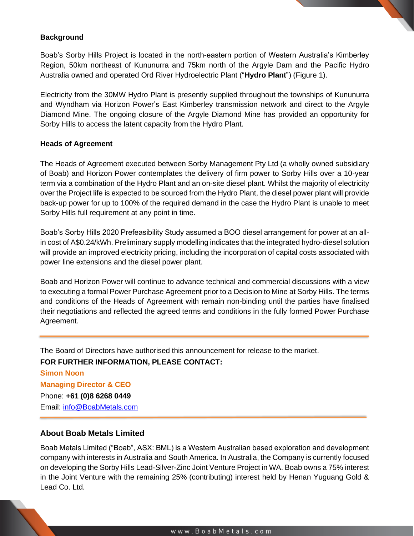#### **Background**

Boab's Sorby Hills Project is located in the north-eastern portion of Western Australia's Kimberley Region, 50km northeast of Kununurra and 75km north of the Argyle Dam and the Pacific Hydro Australia owned and operated Ord River Hydroelectric Plant ("**Hydro Plant**") (Figure 1).

Electricity from the 30MW Hydro Plant is presently supplied throughout the townships of Kununurra and Wyndham via Horizon Power's East Kimberley transmission network and direct to the Argyle Diamond Mine. The ongoing closure of the Argyle Diamond Mine has provided an opportunity for Sorby Hills to access the latent capacity from the Hydro Plant.

#### **Heads of Agreement**

The Heads of Agreement executed between Sorby Management Pty Ltd (a wholly owned subsidiary of Boab) and Horizon Power contemplates the delivery of firm power to Sorby Hills over a 10-year term via a combination of the Hydro Plant and an on-site diesel plant. Whilst the majority of electricity over the Project life is expected to be sourced from the Hydro Plant, the diesel power plant will provide back-up power for up to 100% of the required demand in the case the Hydro Plant is unable to meet Sorby Hills full requirement at any point in time.

Boab's Sorby Hills 2020 Prefeasibility Study assumed a BOO diesel arrangement for power at an allin cost of A\$0.24/kWh. Preliminary supply modelling indicates that the integrated hydro-diesel solution will provide an improved electricity pricing, including the incorporation of capital costs associated with power line extensions and the diesel power plant.

Boab and Horizon Power will continue to advance technical and commercial discussions with a view to executing a formal Power Purchase Agreement prior to a Decision to Mine at Sorby Hills. The terms and conditions of the Heads of Agreement with remain non-binding until the parties have finalised their negotiations and reflected the agreed terms and conditions in the fully formed Power Purchase Agreement.

The Board of Directors have authorised this announcement for release to the market.

### **FOR FURTHER INFORMATION, PLEASE CONTACT:**

**Simon Noon Managing Director & CEO** Phone: **+61 (0)8 6268 0449** Email: [info@BoabMetals.com](mailto:info@BoabMetals.com)

### **About Boab Metals Limited**

Boab Metals Limited ("Boab", ASX: BML) is a Western Australian based exploration and development company with interests in Australia and South America. In Australia, the Company is currently focused on developing the Sorby Hills Lead-Silver-Zinc Joint Venture Project in WA. Boab owns a 75% interest in the Joint Venture with the remaining 25% (contributing) interest held by Henan Yuguang Gold & Lead Co. Ltd.